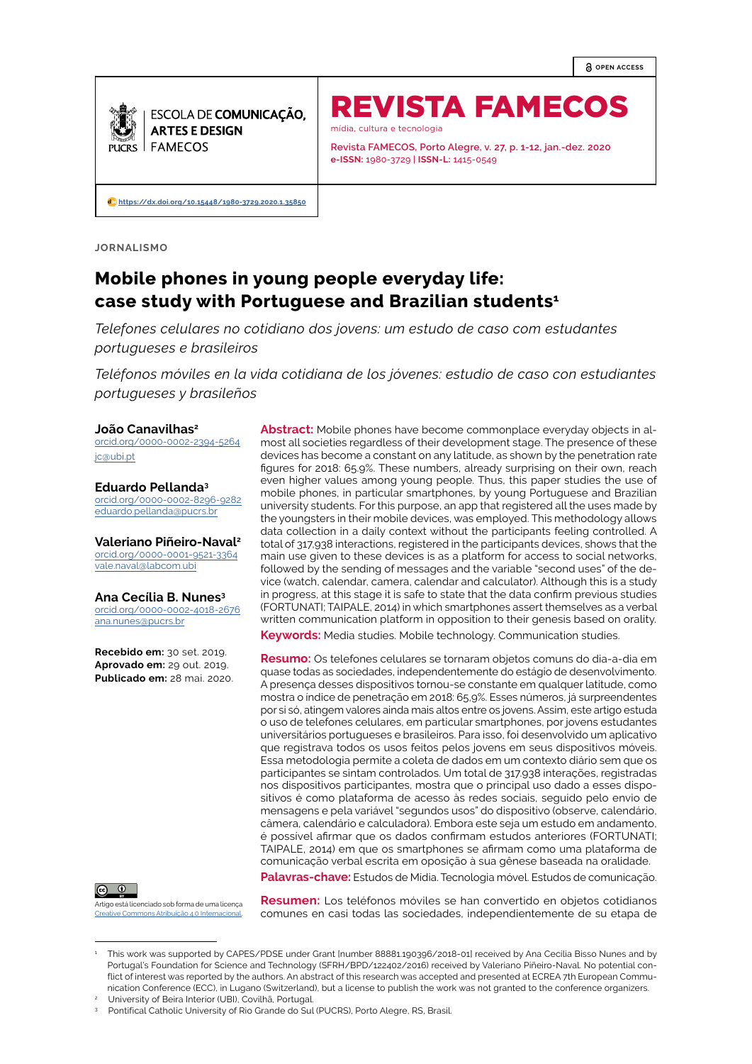**OPEN ACCESS**



REVISTA FAMECOS mídia, cultura e tecnologia

**Revista FAMECOS, Porto Alegre, v. 27, p. 1-12, jan.-dez. 2020 e-ISSN:** 1980-3729 | **ISSN-L:** 1415-0549

**[https://dx.doi.org/10.15448/1980-3729.2020](https://dx.doi.org/10.15448/1980-3729.2020.1.35850).1.35850**

**JORNALISMO**

# **Mobile phones in young people everyday life: case study with Portuguese and Brazilian students1**

*Telefones celulares no cotidiano dos jovens: um estudo de caso com estudantes portugueses e brasileiros* 

*Teléfonos móviles en la vida cotidiana de los jóvenes: estudio de caso con estudiantes portugueses y brasileños*

#### **João Canavilhas<sup>2</sup>**

[orcid.org/0000-0002-2394-5264](http://orcid.org/0000-0002-2394-5264  ) [jc@ubi.pt](mailto:jc%40ubi.pt%20%20?subject=)

**Eduardo Pellanda<sup>3</sup>** [orcid.org/0000-0002-8296-9282](http://orcid.org/0000-0002-8296-9282  ) [eduardo.pellanda@pucrs.br](mailto:eduardo.pellanda%40pucrs.br%20%20?subject=)

**Valeriano Piñeiro-Naval<sup>2</sup>** [orcid.org/0000-0001-9521-3364](http://orcid.org/0000-0001-9521-3364  ) [vale.naval@labcom.ubi](mailto:vale.naval%40labcom.ubi%20%20?subject=)

**Ana Cecília B. Nunes 3** [orcid.org/0000-0002-4018-2676](http://orcid.org/0000-0002-4018-2676  ) [ana.nunes@pucrs.br](mailto:ana.nunes%40pucrs.br?subject=)

**Recebido em:** 30 set. 2019. **Aprovado em:** 29 out. 2019. **Publicado em:** 28 mai. 2020.



Artigo está licenciado sob forma de uma licença ive Commons Atribuição 4.0 Internacional

**Abstract:** Mobile phones have become commonplace everyday objects in almost all societies regardless of their development stage. The presence of these devices has become a constant on any latitude, as shown by the penetration rate figures for 2018: 65.9%. These numbers, already surprising on their own, reach even higher values among young people. Thus, this paper studies the use of mobile phones, in particular smartphones, by young Portuguese and Brazilian university students. For this purpose, an app that registered all the uses made by the youngsters in their mobile devices, was employed. This methodology allows data collection in a daily context without the participants feeling controlled. A total of 317,938 interactions, registered in the participants devices, shows that the main use given to these devices is as a platform for access to social networks, followed by the sending of messages and the variable "second uses" of the device (watch, calendar, camera, calendar and calculator). Although this is a study in progress, at this stage it is safe to state that the data confirm previous studies (FORTUNATI; TAIPALE, 2014) in which smartphones assert themselves as a verbal written communication platform in opposition to their genesis based on orality. **Keywords:** Media studies. Mobile technology. Communication studies.

**Resumo:** Os telefones celulares se tornaram objetos comuns do dia-a-dia em quase todas as sociedades, independentemente do estágio de desenvolvimento. A presença desses dispositivos tornou-se constante em qualquer latitude, como mostra o índice de penetração em 2018: 65,9%. Esses números, já surpreendentes por si só, atingem valores ainda mais altos entre os jovens. Assim, este artigo estuda o uso de telefones celulares, em particular smartphones, por jovens estudantes universitários portugueses e brasileiros. Para isso, foi desenvolvido um aplicativo que registrava todos os usos feitos pelos jovens em seus dispositivos móveis. Essa metodologia permite a coleta de dados em um contexto diário sem que os participantes se sintam controlados. Um total de 317.938 interações, registradas nos dispositivos participantes, mostra que o principal uso dado a esses dispositivos é como plataforma de acesso às redes sociais, seguido pelo envio de mensagens e pela variável "segundos usos" do dispositivo (observe, calendário, câmera, calendário e calculadora). Embora este seja um estudo em andamento, é possível afirmar que os dados confirmam estudos anteriores (FORTUNATI; TAIPALE, 2014) em que os smartphones se afirmam como uma plataforma de comunicação verbal escrita em oposição à sua gênese baseada na oralidade.

**Palavras-chave:** Estudos de Mídia. Tecnologia móvel. Estudos de comunicação.

**Resumen:** Los teléfonos móviles se han convertido en objetos cotidianos comunes en casi todas las sociedades, independientemente de su etapa de

<sup>1</sup> This work was supported by CAPES/PDSE under Grant [number 88881.190396/2018-01] received by Ana Cecília Bisso Nunes and by Portugal's Foundation for Science and Technology (SFRH/BPD/122402/2016) received by Valeriano Piñeiro-Naval. No potential conflict of interest was reported by the authors. An abstract of this research was accepted and presented at ECREA 7th European Communication Conference (ECC), in Lugano (Switzerland), but a license to publish the work was not granted to the conference organizers.

<sup>2</sup> University of Beira Interior (UBI), Covilhã, Portugal.

<sup>3</sup> Pontifical Catholic University of Rio Grande do Sul (PUCRS), Porto Alegre, RS, Brasil.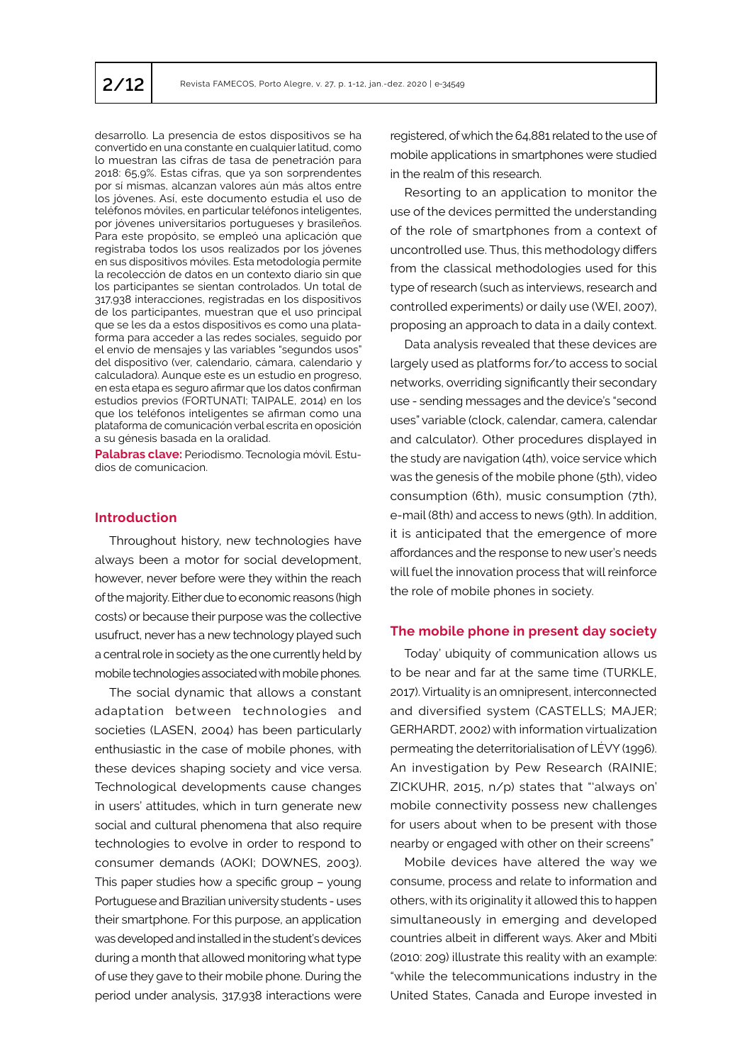desarrollo. La presencia de estos dispositivos se ha convertido en una constante en cualquier latitud, como lo muestran las cifras de tasa de penetración para 2018: 65,9%. Estas cifras, que ya son sorprendentes por sí mismas, alcanzan valores aún más altos entre los jóvenes. Así, este documento estudia el uso de teléfonos móviles, en particular teléfonos inteligentes, por jóvenes universitarios portugueses y brasileños. Para este propósito, se empleó una aplicación que registraba todos los usos realizados por los jóvenes en sus dispositivos móviles. Esta metodología permite la recolección de datos en un contexto diario sin que los participantes se sientan controlados. Un total de 317,938 interacciones, registradas en los dispositivos de los participantes, muestran que el uso principal que se les da a estos dispositivos es como una plataforma para acceder a las redes sociales, seguido por el envío de mensajes y las variables "segundos usos" del dispositivo (ver, calendario, cámara, calendario y calculadora). Aunque este es un estudio en progreso, en esta etapa es seguro afirmar que los datos confirman estudios previos (FORTUNATI; TAIPALE, 2014) en los que los teléfonos inteligentes se afirman como una plataforma de comunicación verbal escrita en oposición a su génesis basada en la oralidad.

**Palabras clave:** Periodismo. Tecnología móvil. Estudios de comunicacion.

# **Introduction**

Throughout history, new technologies have always been a motor for social development, however, never before were they within the reach of the majority. Either due to economic reasons (high costs) or because their purpose was the collective usufruct, never has a new technology played such a central role in society as the one currently held by mobile technologies associated with mobile phones.

The social dynamic that allows a constant adaptation between technologies and societies (LASEN, 2004) has been particularly enthusiastic in the case of mobile phones, with these devices shaping society and vice versa. Technological developments cause changes in users' attitudes, which in turn generate new social and cultural phenomena that also require technologies to evolve in order to respond to consumer demands (AOKI; DOWNES, 2003). This paper studies how a specific group – young Portuguese and Brazilian university students - uses their smartphone. For this purpose, an application was developed and installed in the student's devices during a month that allowed monitoring what type of use they gave to their mobile phone. During the period under analysis, 317,938 interactions were

registered, of which the 64,881 related to the use of mobile applications in smartphones were studied in the realm of this research.

Resorting to an application to monitor the use of the devices permitted the understanding of the role of smartphones from a context of uncontrolled use. Thus, this methodology differs from the classical methodologies used for this type of research (such as interviews, research and controlled experiments) or daily use (WEI, 2007), proposing an approach to data in a daily context.

Data analysis revealed that these devices are largely used as platforms for/to access to social networks, overriding significantly their secondary use - sending messages and the device's "second uses" variable (clock, calendar, camera, calendar and calculator). Other procedures displayed in the study are navigation (4th), voice service which was the genesis of the mobile phone (5th), video consumption (6th), music consumption (7th), e-mail (8th) and access to news (9th). In addition, it is anticipated that the emergence of more affordances and the response to new user's needs will fuel the innovation process that will reinforce the role of mobile phones in society.

# **The mobile phone in present day society**

Today' ubiquity of communication allows us to be near and far at the same time (TURKLE, 2017). Virtuality is an omnipresent, interconnected and diversified system (CASTELLS; MAJER; GERHARDT, 2002) with information virtualization permeating the deterritorialisation of LÉVY (1996). An investigation by Pew Research (RAINIE; ZICKUHR, 2015, n/p) states that "'always on' mobile connectivity possess new challenges for users about when to be present with those nearby or engaged with other on their screens"

Mobile devices have altered the way we consume, process and relate to information and others, with its originality it allowed this to happen simultaneously in emerging and developed countries albeit in different ways. Aker and Mbiti (2010: 209) illustrate this reality with an example: "while the telecommunications industry in the United States, Canada and Europe invested in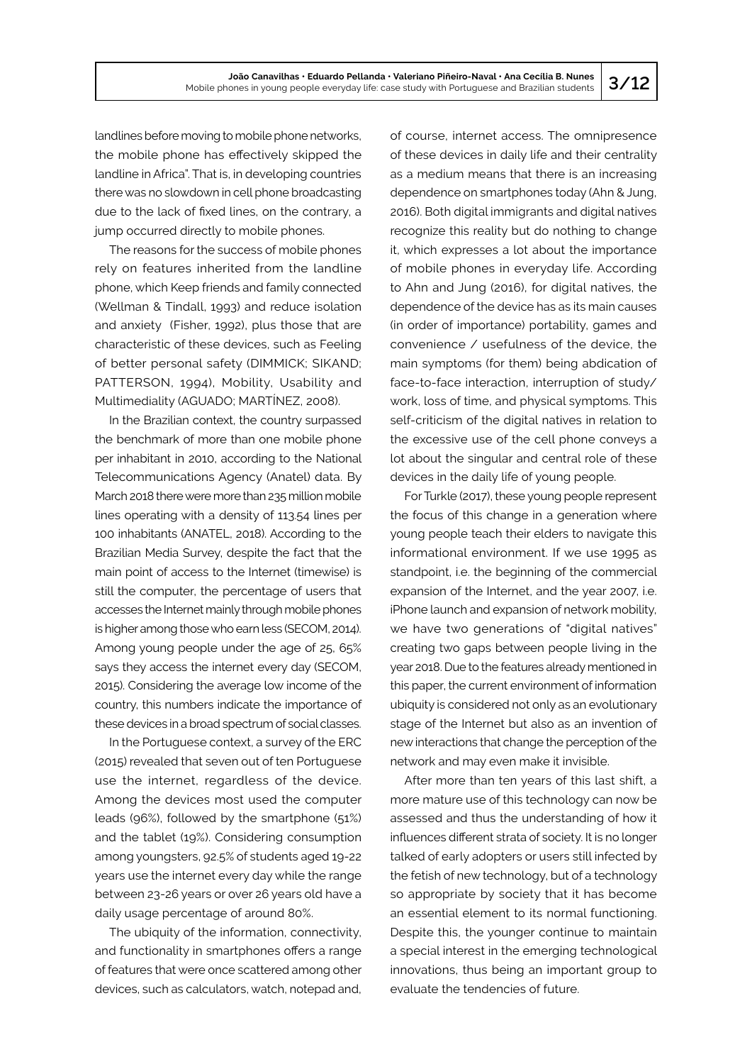landlines before moving to mobile phone networks, the mobile phone has effectively skipped the landline in Africa". That is, in developing countries there was no slowdown in cell phone broadcasting due to the lack of fixed lines, on the contrary, a jump occurred directly to mobile phones.

The reasons for the success of mobile phones rely on features inherited from the landline phone, which Keep friends and family connected (Wellman & Tindall, 1993) and reduce isolation and anxiety (Fisher, 1992), plus those that are characteristic of these devices, such as Feeling of better personal safety (DIMMICK; SIKAND; PATTERSON, 1994), Mobility, Usability and Multimediality (AGUADO; MARTÍNEZ, 2008).

In the Brazilian context, the country surpassed the benchmark of more than one mobile phone per inhabitant in 2010, according to the National Telecommunications Agency (Anatel) data. By March 2018 there were more than 235 million mobile lines operating with a density of 113.54 lines per 100 inhabitants (ANATEL, 2018). According to the Brazilian Media Survey, despite the fact that the main point of access to the Internet (timewise) is still the computer, the percentage of users that accesses the Internet mainly through mobile phones is higher among those who earn less (SECOM, 2014). Among young people under the age of 25, 65% says they access the internet every day (SECOM, 2015). Considering the average low income of the country, this numbers indicate the importance of these devices in a broad spectrum of social classes.

In the Portuguese context, a survey of the ERC (2015) revealed that seven out of ten Portuguese use the internet, regardless of the device. Among the devices most used the computer leads (96%), followed by the smartphone (51%) and the tablet (19%). Considering consumption among youngsters, 92.5% of students aged 19-22 years use the internet every day while the range between 23-26 years or over 26 years old have a daily usage percentage of around 80%.

The ubiquity of the information, connectivity, and functionality in smartphones offers a range of features that were once scattered among other devices, such as calculators, watch, notepad and, of course, internet access. The omnipresence of these devices in daily life and their centrality as a medium means that there is an increasing dependence on smartphones today (Ahn & Jung, 2016). Both digital immigrants and digital natives recognize this reality but do nothing to change it, which expresses a lot about the importance of mobile phones in everyday life. According to Ahn and Jung (2016), for digital natives, the dependence of the device has as its main causes (in order of importance) portability, games and convenience / usefulness of the device, the main symptoms (for them) being abdication of face-to-face interaction, interruption of study/ work, loss of time, and physical symptoms. This self-criticism of the digital natives in relation to the excessive use of the cell phone conveys a lot about the singular and central role of these devices in the daily life of young people.

For Turkle (2017), these young people represent the focus of this change in a generation where young people teach their elders to navigate this informational environment. If we use 1995 as standpoint, i.e. the beginning of the commercial expansion of the Internet, and the year 2007, i.e. iPhone launch and expansion of network mobility, we have two generations of "digital natives" creating two gaps between people living in the year 2018. Due to the features already mentioned in this paper, the current environment of information ubiquity is considered not only as an evolutionary stage of the Internet but also as an invention of new interactions that change the perception of the network and may even make it invisible.

After more than ten years of this last shift, a more mature use of this technology can now be assessed and thus the understanding of how it influences different strata of society. It is no longer talked of early adopters or users still infected by the fetish of new technology, but of a technology so appropriate by society that it has become an essential element to its normal functioning. Despite this, the younger continue to maintain a special interest in the emerging technological innovations, thus being an important group to evaluate the tendencies of future.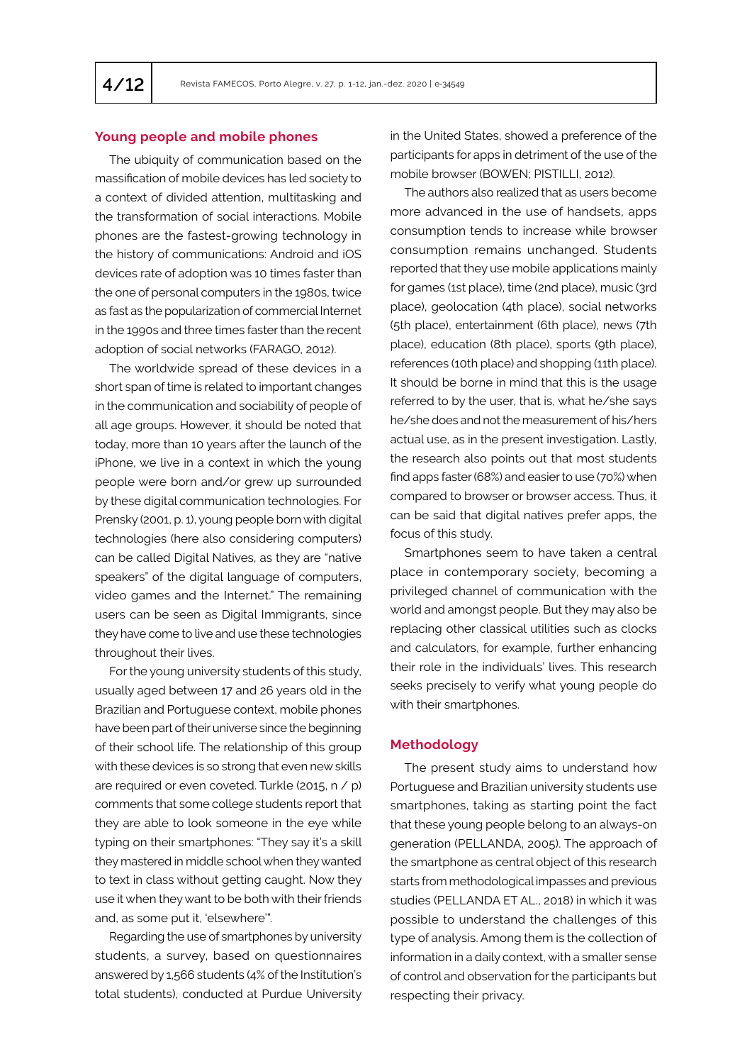# **Young people and mobile phones**

The ubiquity of communication based on the massification of mobile devices has led society to a context of divided attention, multitasking and the transformation of social interactions. Mobile phones are the fastest-growing technology in the history of communications: Android and iOS devices rate of adoption was 10 times faster than the one of personal computers in the 1980s, twice as fast as the popularization of commercial Internet in the 1990s and three times faster than the recent adoption of social networks (FARAGO, 2012).

The worldwide spread of these devices in a short span of time is related to important changes in the communication and sociability of people of all age groups. However, it should be noted that today, more than 10 years after the launch of the iPhone, we live in a context in which the young people were born and/or grew up surrounded by these digital communication technologies. For Prensky (2001, p. 1), young people born with digital technologies (here also considering computers) can be called Digital Natives, as they are "native speakers" of the digital language of computers, video games and the Internet." The remaining users can be seen as Digital Immigrants, since they have come to live and use these technologies throughout their lives.

For the young university students of this study, usually aged between 17 and 26 years old in the Brazilian and Portuguese context, mobile phones have been part of their universe since the beginning of their school life. The relationship of this group with these devices is so strong that even new skills are required or even coveted. Turkle (2015, n / p) comments that some college students report that they are able to look someone in the eye while typing on their smartphones: "They say it's a skill they mastered in middle school when they wanted to text in class without getting caught. Now they use it when they want to be both with their friends and, as some put it, 'elsewhere'".

Regarding the use of smartphones by university students, a survey, based on questionnaires answered by 1,566 students (4% of the Institution's total students), conducted at Purdue University in the United States, showed a preference of the participants for apps in detriment of the use of the mobile browser (BOWEN; PISTILLI, 2012).

The authors also realized that as users become more advanced in the use of handsets, apps consumption tends to increase while browser consumption remains unchanged. Students reported that they use mobile applications mainly for games (1st place), time (2nd place), music (3rd place), geolocation (4th place), social networks (5th place), entertainment (6th place), news (7th place), education (8th place), sports (9th place), references (10th place) and shopping (11th place). It should be borne in mind that this is the usage referred to by the user, that is, what he/she says he/she does and not the measurement of his/hers actual use, as in the present investigation. Lastly, the research also points out that most students find apps faster (68%) and easier to use (70%) when compared to browser or browser access. Thus, it can be said that digital natives prefer apps, the focus of this study.

Smartphones seem to have taken a central place in contemporary society, becoming a privileged channel of communication with the world and amongst people. But they may also be replacing other classical utilities such as clocks and calculators, for example, further enhancing their role in the individuals' lives. This research seeks precisely to verify what young people do with their smartphones.

#### **Methodology**

The present study aims to understand how Portuguese and Brazilian university students use smartphones, taking as starting point the fact that these young people belong to an always-on generation (PELLANDA, 2005). The approach of the smartphone as central object of this research starts from methodological impasses and previous studies (PELLANDA ET AL., 2018) in which it was possible to understand the challenges of this type of analysis. Among them is the collection of information in a daily context, with a smaller sense of control and observation for the participants but respecting their privacy.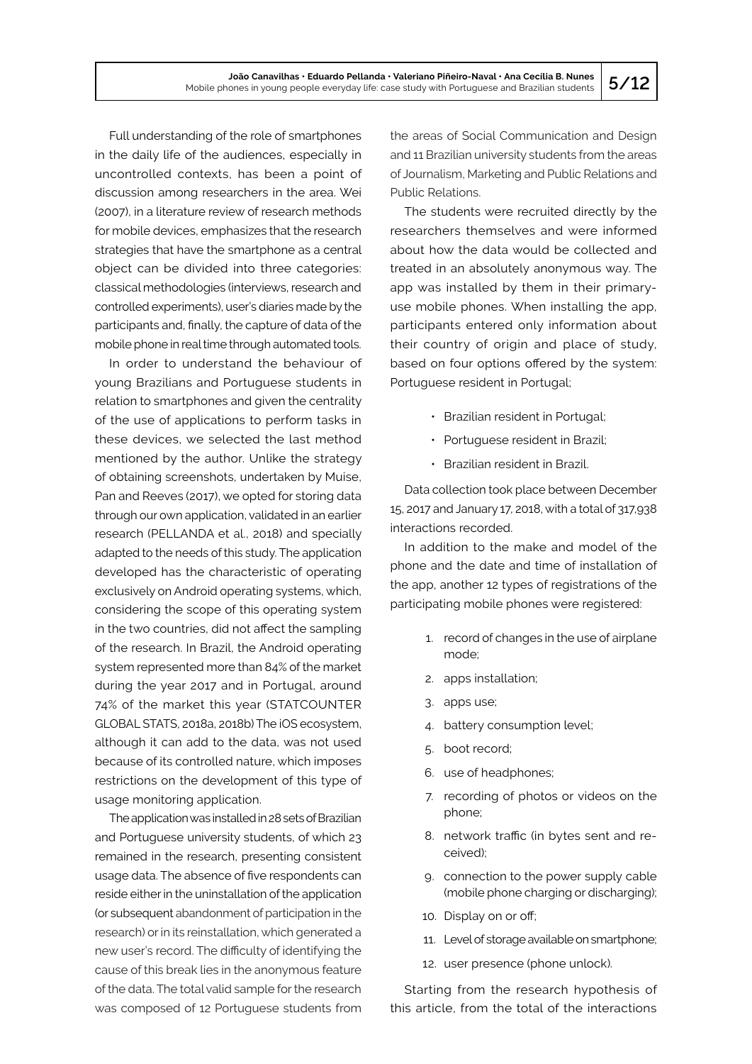Full understanding of the role of smartphones in the daily life of the audiences, especially in uncontrolled contexts, has been a point of discussion among researchers in the area. Wei (2007), in a literature review of research methods for mobile devices, emphasizes that the research strategies that have the smartphone as a central object can be divided into three categories: classical methodologies (interviews, research and controlled experiments), user's diaries made by the participants and, finally, the capture of data of the mobile phone in real time through automated tools.

In order to understand the behaviour of young Brazilians and Portuguese students in relation to smartphones and given the centrality of the use of applications to perform tasks in these devices, we selected the last method mentioned by the author. Unlike the strategy of obtaining screenshots, undertaken by Muise, Pan and Reeves (2017), we opted for storing data through our own application, validated in an earlier research (PELLANDA et al., 2018) and specially adapted to the needs of this study. The application developed has the characteristic of operating exclusively on Android operating systems, which, considering the scope of this operating system in the two countries, did not affect the sampling of the research. In Brazil, the Android operating system represented more than 84% of the market during the year 2017 and in Portugal, around 74% of the market this year (STATCOUNTER GLOBAL STATS, 2018a, 2018b) The iOS ecosystem, although it can add to the data, was not used because of its controlled nature, which imposes restrictions on the development of this type of usage monitoring application.

The application was installed in 28 sets of Brazilian and Portuguese university students, of which 23 remained in the research, presenting consistent usage data. The absence of five respondents can reside either in the uninstallation of the application (or subsequent abandonment of participation in the research) or in its reinstallation, which generated a new user's record. The difficulty of identifying the cause of this break lies in the anonymous feature of the data. The total valid sample for the research was composed of 12 Portuguese students from the areas of Social Communication and Design and 11 Brazilian university students from the areas of Journalism, Marketing and Public Relations and Public Relations.

The students were recruited directly by the researchers themselves and were informed about how the data would be collected and treated in an absolutely anonymous way. The app was installed by them in their primaryuse mobile phones. When installing the app, participants entered only information about their country of origin and place of study, based on four options offered by the system: Portuguese resident in Portugal;

- Brazilian resident in Portugal;
- Portuguese resident in Brazil;
- Brazilian resident in Brazil.

Data collection took place between December 15, 2017 and January 17, 2018, with a total of 317,938 interactions recorded.

In addition to the make and model of the phone and the date and time of installation of the app, another 12 types of registrations of the participating mobile phones were registered:

- 1. record of changes in the use of airplane mode;
- 2. apps installation;
- 3. apps use;
- 4. battery consumption level;
- 5. boot record;
- 6. use of headphones;
- 7. recording of photos or videos on the phone;
- 8. network traffic (in bytes sent and received);
- 9. connection to the power supply cable (mobile phone charging or discharging);
- 10. Display on or off;
- 11. Level of storage available on smartphone;
- 12. user presence (phone unlock).

Starting from the research hypothesis of this article, from the total of the interactions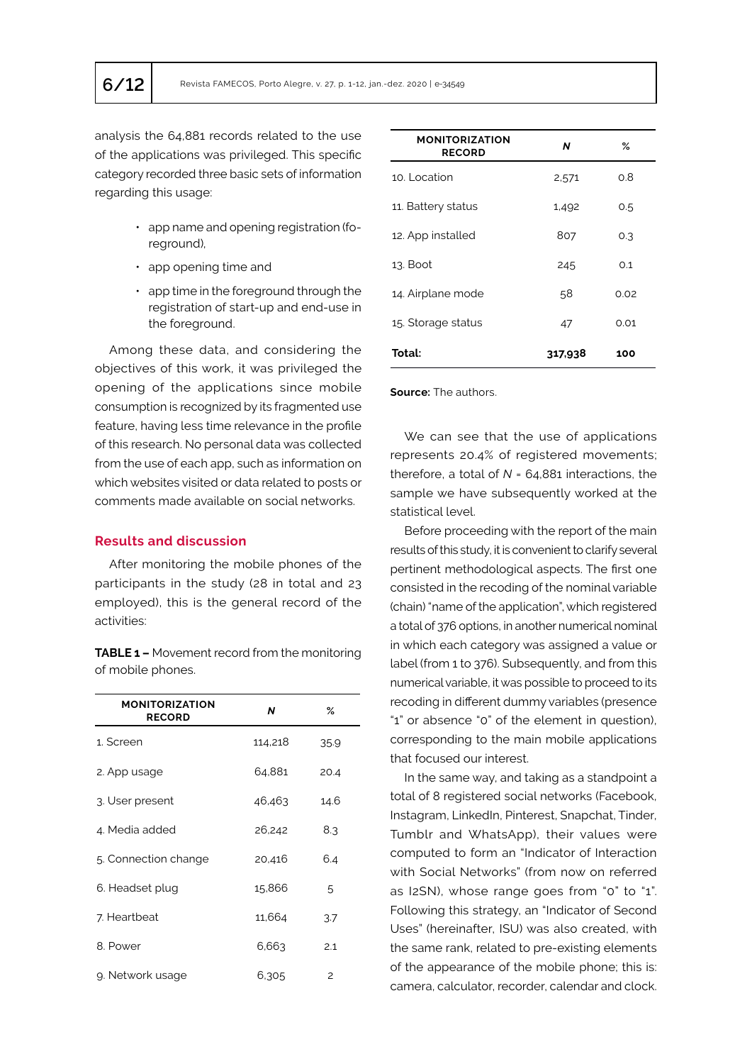analysis the 64,881 records related to the use of the applications was privileged. This specific category recorded three basic sets of information regarding this usage:

- app name and opening registration (foreground),
- app opening time and
- app time in the foreground through the registration of start-up and end-use in the foreground.

Among these data, and considering the objectives of this work, it was privileged the opening of the applications since mobile consumption is recognized by its fragmented use feature, having less time relevance in the profile of this research. No personal data was collected from the use of each app, such as information on which websites visited or data related to posts or comments made available on social networks.

## **Results and discussion**

After monitoring the mobile phones of the participants in the study (28 in total and 23 employed), this is the general record of the activities:

**TABLE 1 –** Movement record from the monitoring of mobile phones.

| <b>MONITORIZATION</b><br><b>RECORD</b> | N       | ℅              |
|----------------------------------------|---------|----------------|
| 1. Screen                              | 114,218 | 35.9           |
| 2. App usage                           | 64,881  | 20.4           |
| 3. User present                        | 46.463  | 14.6           |
| 4. Media added                         | 26,242  | 8.3            |
| 5. Connection change                   | 20,416  | 6.4            |
| 6. Headset plug                        | 15,866  | 5              |
| 7. Heartbeat                           | 11,664  | 3.7            |
| 8. Power                               | 6,663   | 2.1            |
| 9. Network usage                       | 6.305   | $\overline{c}$ |

| <b>MONITORIZATION</b><br><b>RECORD</b> | N       | ℅    |
|----------------------------------------|---------|------|
| 10. Location                           | 2,571   | 0.8  |
| 11. Battery status                     | 1,492   | 0.5  |
| 12. App installed                      | 807     | 0.3  |
| 13. Boot                               | 245     | 0.1  |
| 14. Airplane mode                      | 58      | 0.02 |
| 15. Storage status                     | 47      | 0.01 |
| Total:                                 | 317,938 | 100  |

**Source:** The authors.

We can see that the use of applications represents 20.4% of registered movements; therefore, a total of *N* = 64,881 interactions, the sample we have subsequently worked at the statistical level.

Before proceeding with the report of the main results of this study, it is convenient to clarify several pertinent methodological aspects. The first one consisted in the recoding of the nominal variable (chain) "name of the application", which registered a total of 376 options, in another numerical nominal in which each category was assigned a value or label (from 1 to 376). Subsequently, and from this numerical variable, it was possible to proceed to its recoding in different dummy variables (presence "1" or absence "0" of the element in question), corresponding to the main mobile applications that focused our interest.

In the same way, and taking as a standpoint a total of 8 registered social networks (Facebook, Instagram, LinkedIn, Pinterest, Snapchat, Tinder, Tumblr and WhatsApp), their values were computed to form an "Indicator of Interaction with Social Networks" (from now on referred as I2SN), whose range goes from "0" to "1". Following this strategy, an "Indicator of Second Uses" (hereinafter, ISU) was also created, with the same rank, related to pre-existing elements of the appearance of the mobile phone; this is: camera, calculator, recorder, calendar and clock.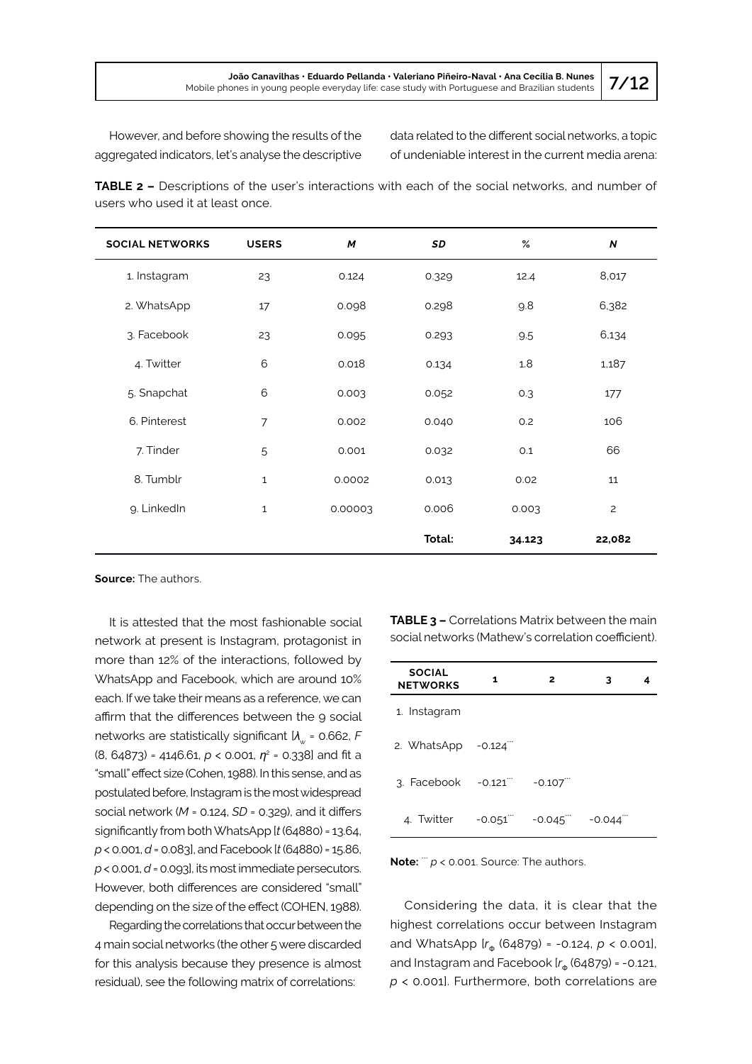However, and before showing the results of the aggregated indicators, let's analyse the descriptive data related to the different social networks, a topic of undeniable interest in the current media arena:

**TABLE 2 –** Descriptions of the user's interactions with each of the social networks, and number of users who used it at least once.

| <b>SOCIAL NETWORKS</b> | <b>USERS</b> | M       | SD     | %      | $\boldsymbol{N}$ |
|------------------------|--------------|---------|--------|--------|------------------|
| 1. Instagram           | 23           | 0.124   | 0.329  | 12.4   | 8,017            |
| 2. WhatsApp            | 17           | 0.098   | 0.298  | 9.8    | 6,382            |
| 3. Facebook            | 23           | 0.095   | 0.293  | 9.5    | 6,134            |
| 4. Twitter             | 6            | 0.018   | 0.134  | 1.8    | 1,187            |
| 5. Snapchat            | 6            | 0.003   | 0.052  | 0.3    | 177              |
| 6. Pinterest           | 7            | 0.002   | 0.040  | 0.2    | 106              |
| 7. Tinder              | 5            | 0.001   | 0.032  | O.1    | 66               |
| 8. Tumblr              | $\mathbf 1$  | 0.0002  | 0.013  | 0.02   | 11               |
| 9. LinkedIn            | $\mathbf{1}$ | 0.00003 | 0.006  | 0.003  | $\overline{c}$   |
|                        |              |         | Total: | 34.123 | 22,082           |

**Source:** The authors.

It is attested that the most fashionable social network at present is Instagram, protagonist in more than 12% of the interactions, followed by WhatsApp and Facebook, which are around 10% each. If we take their means as a reference, we can affirm that the differences between the 9 social networks are statistically significant  $U_w$  = 0.662, *F* (8, 64873) = 4146.61, *p* < 0.001, *η*<sup>2</sup> = 0.338] and fit a "small" effect size (Cohen, 1988). In this sense, and as postulated before, Instagram is the most widespread social network (*M* = 0.124, *SD* = 0.329), and it differs significantly from both WhatsApp [*t* (64880) = 13.64, *p* < 0.001, *d* = 0.083], and Facebook [*t* (64880) = 15.86, *p* < 0.001, *d* = 0.093], its most immediate persecutors. However, both differences are considered "small" depending on the size of the effect (COHEN, 1988).

Regarding the correlations that occur between the 4 main social networks (the other 5 were discarded for this analysis because they presence is almost residual), see the following matrix of correlations:

**TABLE 3 –** Correlations Matrix between the main social networks (Mathew's correlation coefficient).

| <b>SOCIAL</b><br><b>NETWORKS</b>    | 1        | 2          | 3        |  |
|-------------------------------------|----------|------------|----------|--|
| 1. Instagram                        |          |            |          |  |
| 2. WhatsApp $-0.124$ <sup>"</sup>   |          |            |          |  |
| $3.$ Facebook $-0.121$ <sup>"</sup> |          | $-0.107$   |          |  |
| 4. Twitter                          | $-0.051$ | $-0.045$ . | $-0.044$ |  |

**Note:**  $\dddot{p}$  < 0.001. Source: The authors.

Considering the data, it is clear that the highest correlations occur between Instagram and WhatsApp  $[r_{\phi}$  (64879) = -0.124,  $p < 0.001$ ], and Instagram and Facebook  $[r_{\phi} (64879) = -0.121,$ *p* < 0.001]. Furthermore, both correlations are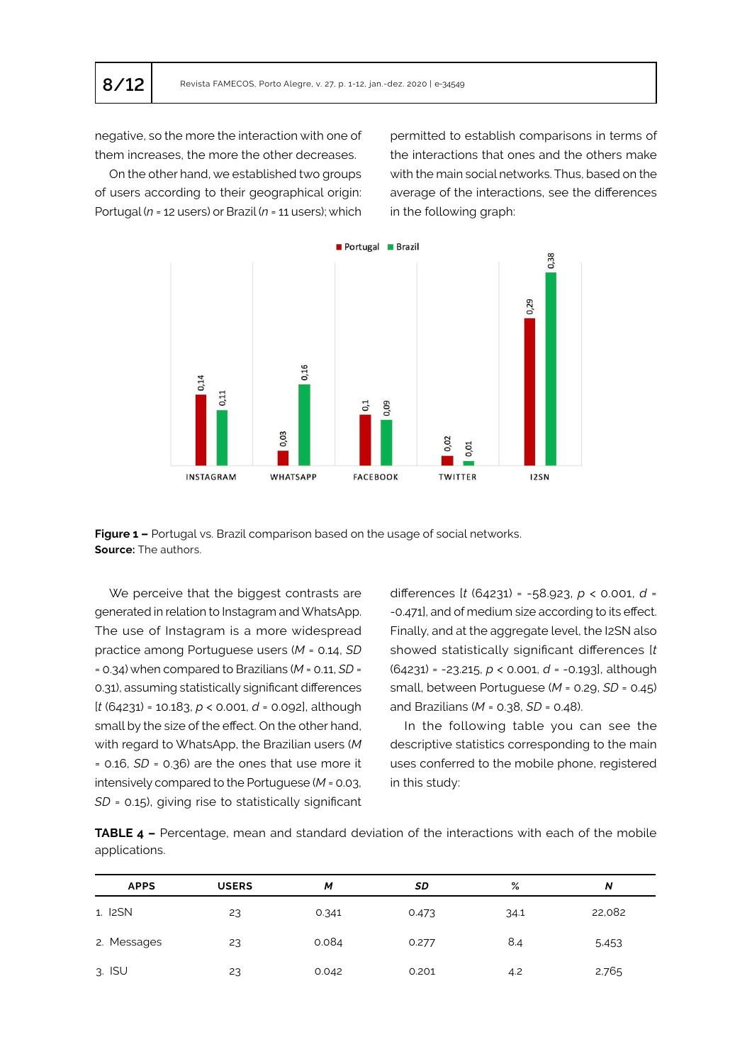negative, so the more the interaction with one of them increases, the more the other decreases.

On the other hand, we established two groups of users according to their geographical origin: Portugal (*n* = 12 users) or Brazil (*n* = 11 users); which permitted to establish comparisons in terms of the interactions that ones and the others make with the main social networks. Thus, based on the average of the interactions, see the differences in the following graph:



Figure 1 - Portugal vs. Brazil comparison based on the usage of social networks. **Source:** The authors.

We perceive that the biggest contrasts are generated in relation to Instagram and WhatsApp. The use of Instagram is a more widespread practice among Portuguese users (*M* = 0.14, *SD* = 0.34) when compared to Brazilians (*M* = 0.11, *SD* = 0.31), assuming statistically significant differences [*t* (64231) = 10.183, *p* < 0.001, *d* = 0.092], although small by the size of the effect. On the other hand, with regard to WhatsApp, the Brazilian users (*M* = 0.16, *SD* = 0.36) are the ones that use more it intensively compared to the Portuguese (*M* = 0.03, *SD* = 0.15), giving rise to statistically significant

differences [*t* (64231) = -58.923, *p* < 0.001, *d* = -0.471], and of medium size according to its effect. Finally, and at the aggregate level, the I2SN also showed statistically significant differences [*t* (64231) = -23.215, *p* < 0.001, *d* = -0.193], although small, between Portuguese (*M* = 0.29, *SD* = 0.45) and Brazilians (*M* = 0.38, *SD* = 0.48).

In the following table you can see the descriptive statistics corresponding to the main uses conferred to the mobile phone, registered in this study:

**TABLE 4 –** Percentage, mean and standard deviation of the interactions with each of the mobile applications.

| <b>APPS</b>          | <b>USERS</b> | M     | SD    | %    | N      |
|----------------------|--------------|-------|-------|------|--------|
| 1. I <sub>2</sub> SN | 23           | 0.341 | 0.473 | 34.1 | 22,082 |
| 2. Messages          | 23           | 0.084 | 0.277 | 8.4  | 5,453  |
| $3.$ ISU             | 23           | 0.042 | 0.201 | 4.2  | 2,765  |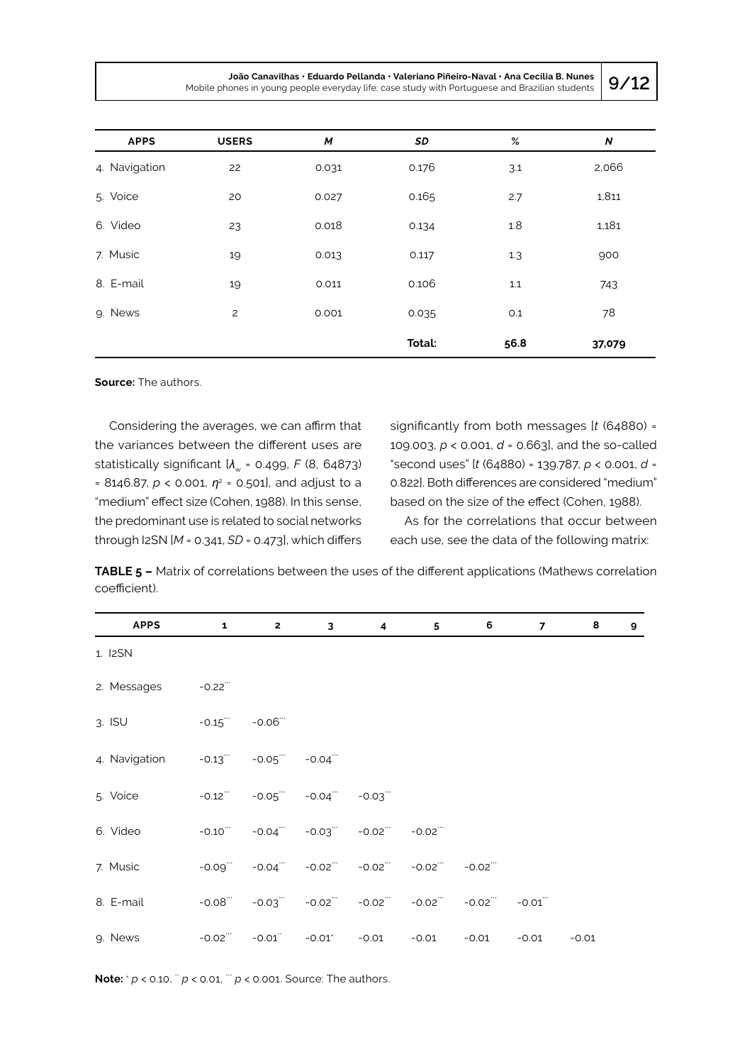| <b>APPS</b>   | <b>USERS</b> | M     | SD     | $\%$ | $\boldsymbol{N}$ |
|---------------|--------------|-------|--------|------|------------------|
| 4. Navigation | 22           | 0.031 | 0.176  | 3.1  | 2,066            |
| 5. Voice      | 20           | 0.027 | 0.165  | 2.7  | 1,811            |
| 6. Video      | 23           | 0.018 | 0.134  | 1.8  | 1,181            |
| 7. Music      | 19           | 0.013 | 0.117  | 1.3  | 900              |
| 8. E-mail     | 19           | 0.011 | 0.106  | 1.1  | 743              |
| 9. News       | 2            | 0.001 | 0.035  | 0.1  | 78               |
|               |              |       | Total: | 56.8 | 37,079           |

**Source:** The authors.

Considering the averages, we can affirm that the variances between the different uses are statistically significant  $A_w$  = 0.499, *F* (8, 64873)  $= 8146.87$ ,  $p < 0.001$ ,  $\eta^2 = 0.501$ , and adjust to a "medium" effect size (Cohen, 1988). In this sense, the predominant use is related to social networks through I2SN [*M* = 0.341, *SD* = 0.473], which differs

significantly from both messages [*t* (64880) = 109.003, *p* < 0.001, *d* = 0.663], and the so-called "second uses" [*t* (64880) = 139.787, *p* < 0.001, *d* = 0.822]. Both differences are considered "medium" based on the size of the effect (Cohen, 1988).

As for the correlations that occur between each use, see the data of the following matrix:

**TABLE 5 –** Matrix of correlations between the uses of the different applications (Mathews correlation coefficient).

| <b>APPS</b>   | $\mathbf{1}$           | $2^{\circ}$             | $\mathbf{3}$                    | $\overline{\mathbf{4}}$ | 5       | 6                   | $\overline{7}$ | 8       | 9 |
|---------------|------------------------|-------------------------|---------------------------------|-------------------------|---------|---------------------|----------------|---------|---|
| 1. I2SN       |                        |                         |                                 |                         |         |                     |                |         |   |
| 2. Messages   | $-0.22$                |                         |                                 |                         |         |                     |                |         |   |
| $3.$ ISU      |                        | $-0.15$ $-0.06$ $-$     |                                 |                         |         |                     |                |         |   |
| 4. Navigation |                        | $-0.13$ $-0.05$ $-0.04$ |                                 |                         |         |                     |                |         |   |
| 5. Voice      | $-0.12$                |                         | $-0.05$ $-0.04$ $-0.03$         |                         |         |                     |                |         |   |
| 6. Video      | $-0.10$ <sup>***</sup> |                         | $-0.04$ $-0.03$ $-0.02$         |                         | $-0.02$ |                     |                |         |   |
| 7. Music      | $-0.09$                |                         | $-0.04$ $-0.02$ $-0.02$         |                         |         | $-0.02$ $-0.02$ $-$ |                |         |   |
| 8. E-mail     | $-0.08$                |                         | $-0.03$ $-0.02$ $-0.02$ $-0.02$ |                         |         | $-0.02$ $-0.02$ $-$ | $-0.01$        |         |   |
| 9. News       | $-0.02$                | $-0.01$                 |                                 | $-0.01'$ $-0.01$        | $-0.01$ | $-0.01$             | $-0.01$        | $-0.01$ |   |

**Note:**  $^{\circ}$  *p* < 0.10,  $^{\circ}$  *p* < 0.01,  $^{\circ}$  *p* < 0.001. Source: The authors.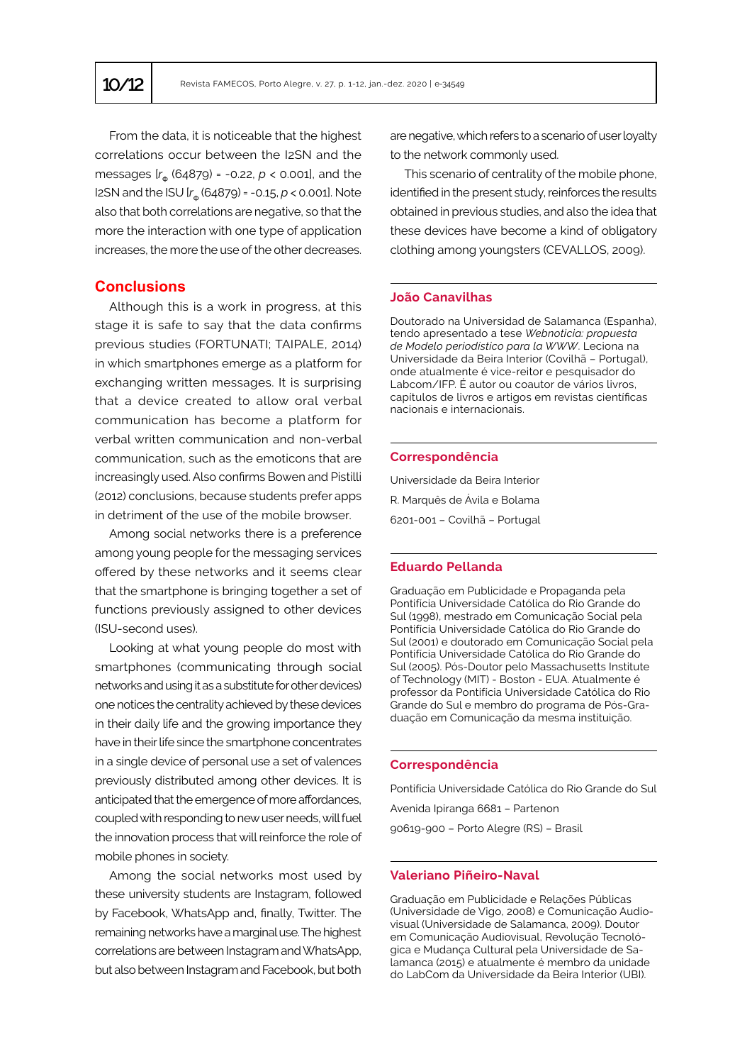From the data, it is noticeable that the highest correlations occur between the I2SN and the messages  $[r_{\phi} (64879) = -0.22, p < 0.001]$ , and the I2SN and the ISU  $[r_{\phi} (64879) = -0.15, p < 0.001]$ . Note also that both correlations are negative, so that the more the interaction with one type of application increases, the more the use of the other decreases.

## **Conclusions**

Although this is a work in progress, at this stage it is safe to say that the data confirms previous studies (FORTUNATI; TAIPALE, 2014) in which smartphones emerge as a platform for exchanging written messages. It is surprising that a device created to allow oral verbal communication has become a platform for verbal written communication and non-verbal communication, such as the emoticons that are increasingly used. Also confirms Bowen and Pistilli (2012) conclusions, because students prefer apps in detriment of the use of the mobile browser.

Among social networks there is a preference among young people for the messaging services offered by these networks and it seems clear that the smartphone is bringing together a set of functions previously assigned to other devices (ISU-second uses).

Looking at what young people do most with smartphones (communicating through social networks and using it as a substitute for other devices) one notices the centrality achieved by these devices in their daily life and the growing importance they have in their life since the smartphone concentrates in a single device of personal use a set of valences previously distributed among other devices. It is anticipated that the emergence of more affordances, coupled with responding to new user needs, will fuel the innovation process that will reinforce the role of mobile phones in society.

Among the social networks most used by these university students are Instagram, followed by Facebook, WhatsApp and, finally, Twitter. The remaining networks have a marginal use. The highest correlations are between Instagram and WhatsApp, but also between Instagram and Facebook, but both

are negative, which refers to a scenario of user loyalty to the network commonly used.

This scenario of centrality of the mobile phone, identified in the present study, reinforces the results obtained in previous studies, and also the idea that these devices have become a kind of obligatory clothing among youngsters (CEVALLOS, 2009).

## **João Canavilhas**

Doutorado na Universidad de Salamanca (Espanha), tendo apresentado a tese *Webnoticia: propuesta de Modelo periodístico para la WWW*. Leciona na Universidade da Beira Interior (Covilhã – Portugal), onde atualmente é vice-reitor e pesquisador do Labcom/IFP. É autor ou coautor de vários livros, capítulos de livros e artigos em revistas científicas nacionais e internacionais.

#### **Correspondência**

Universidade da Beira Interior R. Marquês de Ávila e Bolama 6201-001 – Covilhã – Portugal

#### **Eduardo Pellanda**

Graduação em Publicidade e Propaganda pela Pontifícia Universidade Católica do Rio Grande do Sul (1998), mestrado em Comunicação Social pela Pontifícia Universidade Católica do Rio Grande do Sul (2001) e doutorado em Comunicação Social pela Pontifícia Universidade Católica do Rio Grande do Sul (2005). Pós-Doutor pelo Massachusetts Institute of Technology (MIT) - Boston - EUA. Atualmente é professor da Pontifícia Universidade Católica do Rio Grande do Sul e membro do programa de Pós-Graduação em Comunicação da mesma instituição.

#### **Correspondência**

Pontifícia Universidade Católica do Rio Grande do Sul Avenida Ipiranga 6681 – Partenon 90619-900 – Porto Alegre (RS) – Brasil

#### **Valeriano Piñeiro-Naval**

Graduação em Publicidade e Relações Públicas (Universidade de Vigo, 2008) e Comunicação Audiovisual (Universidade de Salamanca, 2009). Doutor em Comunicação Audiovisual, Revolução Tecnológica e Mudança Cultural pela Universidade de Salamanca (2015) e atualmente é membro da unidade do LabCom da Universidade da Beira Interior (UBI).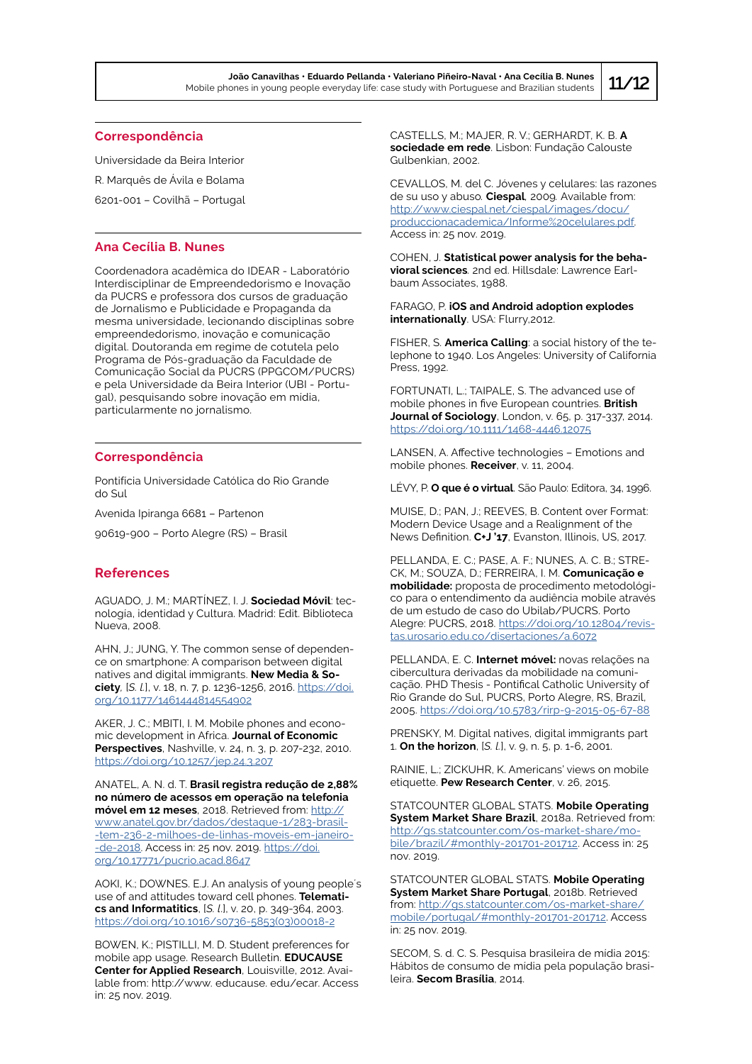#### **Correspondência**

Universidade da Beira Interior R. Marquês de Ávila e Bolama 6201-001 – Covilhã – Portugal

## **Ana Cecília B. Nunes**

Coordenadora acadêmica do IDEAR - Laboratório Interdisciplinar de Empreendedorismo e Inovação da PUCRS e professora dos cursos de graduação de Jornalismo e Publicidade e Propaganda da mesma universidade, lecionando disciplinas sobre empreendedorismo, inovação e comunicação digital. Doutoranda em regime de cotutela pelo Programa de Pós-graduação da Faculdade de Comunicação Social da PUCRS (PPGCOM/PUCRS) e pela Universidade da Beira Interior (UBI - Portugal), pesquisando sobre inovação em mídia, particularmente no jornalismo.

#### **Correspondência**

Pontifícia Universidade Católica do Rio Grande do Sul

Avenida Ipiranga 6681 – Partenon

90619-900 – Porto Alegre (RS) – Brasil

## **References**

AGUADO, J. M.; MARTÍNEZ, I. J. **Sociedad Móvil**: tecnología, identidad y Cultura. Madrid: Edit. Biblioteca Nueva, 2008.

AHN, J.; JUNG, Y. The common sense of dependence on smartphone: A comparison between digital natives and digital immigrants. **New Media & Society***,* [*S. l.*], v. 18, n. 7, p. 1236-1256, 2016. [https://doi.](https://doi.org/10.1177/1461444814554902) [org/10.1177/1461444814554902](https://doi.org/10.1177/1461444814554902)

AKER, J. C.; MBITI, I. M. Mobile phones and economic development in Africa. **Journal of Economic Perspectives**, Nashville, v. 24, n. 3, p. 207-232, 2010. <https://doi.org/10.1257/jep.24.3.207>

ANATEL, A. N. d. T. **Brasil registra redução de 2,88% no número de acessos em operação na telefonia móvel em 12 meses**, 2018. Retrieved from: [http://](http://www.anatel.gov.br/dados/destaque-1/283-brasil-tem-236-2-milhoes-de-linhas-moveis-em-janeiro-de-2018) [www.anatel.gov.br/dados/destaque-1/283-brasil-](http://www.anatel.gov.br/dados/destaque-1/283-brasil-tem-236-2-milhoes-de-linhas-moveis-em-janeiro-de-2018) [-tem-236-2-milhoes-de-linhas-moveis-em-janeiro-](http://www.anatel.gov.br/dados/destaque-1/283-brasil-tem-236-2-milhoes-de-linhas-moveis-em-janeiro-de-2018) [-de-2018](http://www.anatel.gov.br/dados/destaque-1/283-brasil-tem-236-2-milhoes-de-linhas-moveis-em-janeiro-de-2018). Access in: 25 nov. 2019. [https://doi.](https://doi.org/10.17771/pucrio.acad.8647) [org/10.17771/pucrio.acad.8647](https://doi.org/10.17771/pucrio.acad.8647)

AOKI, K.; DOWNES. E.J. An analysis of young people´s use of and attitudes toward cell phones. **Telematics and Informatitics**, [*S. l*.], v. 20, p. 349-364, 2003. [https://doi.org/10.1016/s0736-5853\(03\)00018-2](https://doi.org/10.1016/s0736-5853(03)00018-2)

BOWEN, K.; PISTILLI, M. D. Student preferences for mobile app usage. Research Bulletin. **EDUCAUSE Center for Applied Research**, Louisville, 2012. Available from: http://www. educause. edu/ecar. Access in: 25 nov. 2019.

CASTELLS, M.; MAJER, R. V.; GERHARDT, K. B. **A sociedade em rede**. Lisbon: Fundação Calouste Gulbenkian, 2002.

CEVALLOS, M. del C. Jóvenes y celulares: las razones de su uso y abuso*.* **Ciespal***,* 2009*.* Available from: [http://www.ciespal.net/ciespal/images/docu/](http://www.ciespal.net/ciespal/images/docu/produccionacademica/Informe%20celulares.pdf) [produccionacademica/Informe%20celulares.pdf](http://www.ciespal.net/ciespal/images/docu/produccionacademica/Informe%20celulares.pdf). Access in: 25 nov. 2019.

COHEN, J. **Statistical power analysis for the behavioral sciences***.* 2nd ed. Hillsdale: Lawrence Earlbaum Associates, 1988.

FARAGO, P. **iOS and Android adoption explodes internationally**. USA: Flurry,2012.

FISHER, S. **America Calling**: a social history of the telephone to 1940. Los Angeles: University of California Press, 1992.

FORTUNATI, L.; TAIPALE, S. The advanced use of mobile phones in five European countries. **British Journal of Sociology**, London, v. 65, p. 317-337, 2014. <https://doi.org/10.1111/1468-4446.12075>

LANSEN, A. Affective technologies – Emotions and mobile phones. **Receiver**, v. 11, 2004.

LÉVY, P. **O que é o virtual**. São Paulo: Editora, 34, 1996.

MUISE, D.; PAN, J.; REEVES, B. Content over Format: Modern Device Usage and a Realignment of the News Definition. **C+J '17**, Evanston, Illinois, US, 2017.

PELLANDA, E. C.; PASE, A. F.; NUNES, A. C. B.; STRE-CK, M.; SOUZA, D.; FERREIRA, I. M. **Comunicação e mobilidade:** proposta de procedimento metodológico para o entendimento da audiência mobile através de um estudo de caso do Ubilab/PUCRS. Porto Alegre: PUCRS, 2018. [https://doi.org/10.12804/revis](https://doi.org/10.12804/revistas.urosario.edu.co/disertaciones/a.6072)[tas.urosario.edu.co/disertaciones/a.6072](https://doi.org/10.12804/revistas.urosario.edu.co/disertaciones/a.6072)

PELLANDA, E. C. **Internet móvel:** novas relações na cibercultura derivadas da mobilidade na comunicação. PHD Thesis - Pontifical Catholic University of Rio Grande do Sul, PUCRS, Porto Alegre, RS, Brazil, 2005. <https://doi.org/10.5783/rirp-9-2015-05-67-88>

PRENSKY, M. Digital natives, digital immigrants part 1. **On the horizon**, [*S. l.*], v. 9, n. 5, p. 1-6, 2001.

RAINIE, L.; ZICKUHR, K. Americans' views on mobile etiquette. **Pew Research Center**, v. 26, 2015.

STATCOUNTER GLOBAL STATS. **Mobile Operating System Market Share Brazil**, 2018a. Retrieved from: http://gs.statcounter.com/os-market-share/mobile/brazil/#monthly-201701-201712. Access in: 25 nov. 2019.

STATCOUNTER GLOBAL STATS. **Mobile Operating System Market Share Portugal**, 2018b. Retrieved from: http://gs.statcounter.com/os-market-share/ mobile/portugal/#monthly-201701-201712. Access in: 25 nov. 2019.

SECOM, S. d. C. S. Pesquisa brasileira de mídia 2015: Hábitos de consumo de mídia pela população brasileira. **Secom Brasília**, 2014.